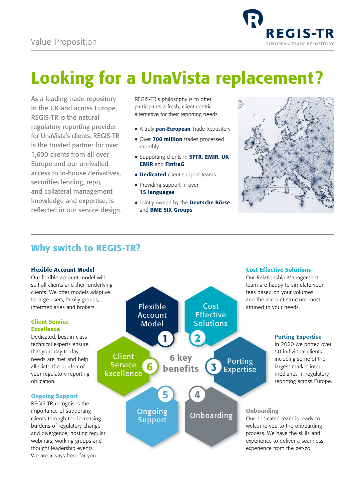

# Looking for a UnaVista replacement?

As a leading trade repository in the UK and across Europe, REGIS-TR is the natural regulatory reporting provider for UnaVista's clients. REGIS-TR is the trusted partner for over 1,600 clients from all over Europe and our unrivalled access to in-house derivatives, securities lending, repo, and collateral management knowledge and expertise, is reflected in our service design.

REGIS-TR's philosophy is to offer participants a fresh, client-centric alternative for their reporting needs.

- A truly pan-European Trade Repository
- Over 700 million trades processed monthly
- Supporting clients in **SFTR, EMIR, UK** EMIR and FinfraG
- **Dedicated** client support teams
- Providing support in over 15 languages
- **Jointly owned by the Deutsche Börse** and BME SIX Groups



# Why switch to REGIS-TR?

#### Flexible Account Model

Our flexible account model will suit all clients and their underlying clients. We offer models adaptive to large users, family groups, intermediaries and brokers.

### Client Service Excellence

Dedicated, best in class technical experts ensure that your day-to-day needs are met and help alleviate the burden of your regulatory reporting obligation.

## Ongoing Support

REGIS-TR recognises the importance of supporting clients through the increasing burdens of regulatory change and divergence, hosting regular webinars, working groups and thought leadership events. We are always here for you.